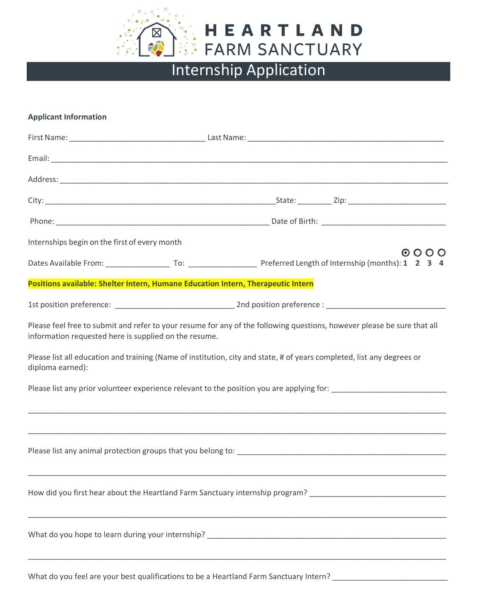

## **Applicant Information**

| Internships begin on the first of every month         |                                                                                                                                                                            |
|-------------------------------------------------------|----------------------------------------------------------------------------------------------------------------------------------------------------------------------------|
|                                                       | $\circ$ $\circ$ $\circ$                                                                                                                                                    |
|                                                       | Positions available: Shelter Intern, Humane Education Intern, Therapeutic Intern                                                                                           |
|                                                       |                                                                                                                                                                            |
| information requested here is supplied on the resume. | Please feel free to submit and refer to your resume for any of the following questions, however please be sure that all                                                    |
| diploma earned):                                      | Please list all education and training (Name of institution, city and state, # of years completed, list any degrees or                                                     |
|                                                       |                                                                                                                                                                            |
|                                                       |                                                                                                                                                                            |
|                                                       |                                                                                                                                                                            |
|                                                       | How did you first hear about the Heartland Farm Sanctuary internship program? ________________________________                                                             |
|                                                       | ,我们也不能在这里的时候,我们也不能在这里的时候,我们也不能会在这里的时候,我们也不能会在这里的时候,我们也不能会在这里的时候,我们也不能会在这里的时候,我们也                                                                                           |
|                                                       | ,我们也不能在这里的时候,我们也不能在这里的时候,我们也不能会在这里的时候,我们也不能会在这里的时候,我们也不能会在这里的时候,我们也不能会在这里的时候,我们也<br>What do you feel are your best qualifications to be a Heartland Farm Sanctuary Intern? |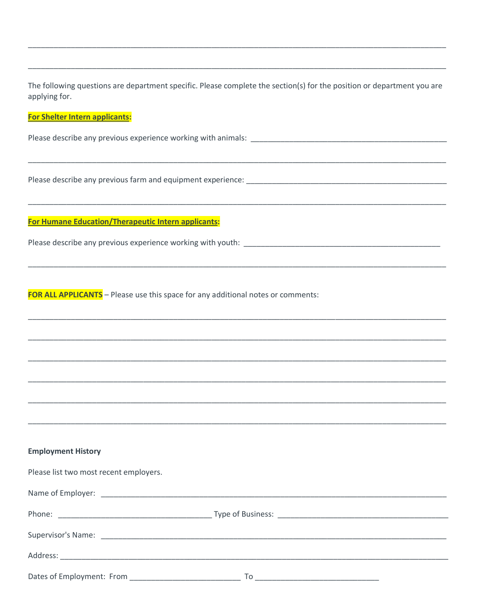The following questions are department specific. Please complete the section(s) for the position or department you are applying for.

## For Shelter Intern applicants:

Please describe any previous experience working with animals:<br>
experience working with animals:

Please describe any previous farm and equipment experience: \_\_\_\_\_\_\_\_\_\_\_\_\_\_\_\_\_\_\_\_

For Humane Education/Therapeutic Intern applicants:

FOR ALL APPLICANTS - Please use this space for any additional notes or comments:

## **Employment History**

| Please list two most recent employers. |                                                                                                                             |  |
|----------------------------------------|-----------------------------------------------------------------------------------------------------------------------------|--|
|                                        |                                                                                                                             |  |
|                                        |                                                                                                                             |  |
|                                        |                                                                                                                             |  |
|                                        |                                                                                                                             |  |
|                                        | To<br><u> 2000 - Jan Barnett, mars et al. 1980 - Antonio de la contenta de la contenta de la contenta de la contenta de</u> |  |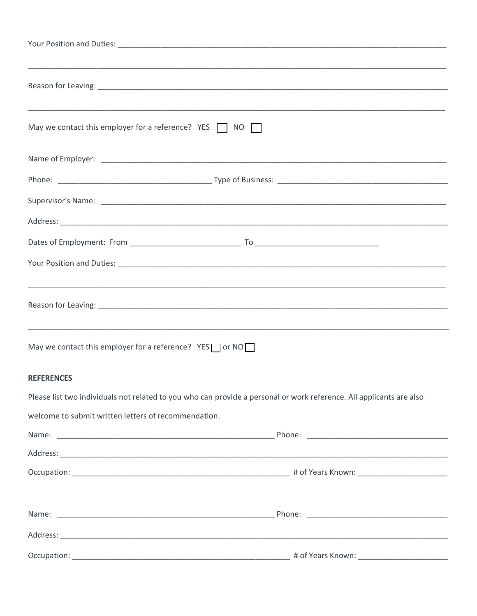| ,我们也不能在这里的时候,我们也不能在这里的时候,我们也不能会不能会不能会不能会不能会不能会不能会不能会不能会不能会。""我们的是,我们也不能会不能会不能会不能                                     |  |  |  |
|----------------------------------------------------------------------------------------------------------------------|--|--|--|
| May we contact this employer for a reference? YES $\Box$ NO $\Box$                                                   |  |  |  |
|                                                                                                                      |  |  |  |
|                                                                                                                      |  |  |  |
|                                                                                                                      |  |  |  |
|                                                                                                                      |  |  |  |
|                                                                                                                      |  |  |  |
|                                                                                                                      |  |  |  |
| ,我们也不能在这里的时候,我们也不能在这里的时候,我们也不能会在这里,我们也不能会不能会不能会不能会不能会不能会不能会。""我们,我们也不能会不能会不能会不能会                                     |  |  |  |
|                                                                                                                      |  |  |  |
|                                                                                                                      |  |  |  |
| May we contact this employer for a reference? $YES \cap YES$                                                         |  |  |  |
| <b>REFERENCES</b>                                                                                                    |  |  |  |
| Please list two individuals not related to you who can provide a personal or work reference. All applicants are also |  |  |  |
| welcome to submit written letters of recommendation.                                                                 |  |  |  |
|                                                                                                                      |  |  |  |
|                                                                                                                      |  |  |  |
|                                                                                                                      |  |  |  |
|                                                                                                                      |  |  |  |
|                                                                                                                      |  |  |  |
|                                                                                                                      |  |  |  |
|                                                                                                                      |  |  |  |